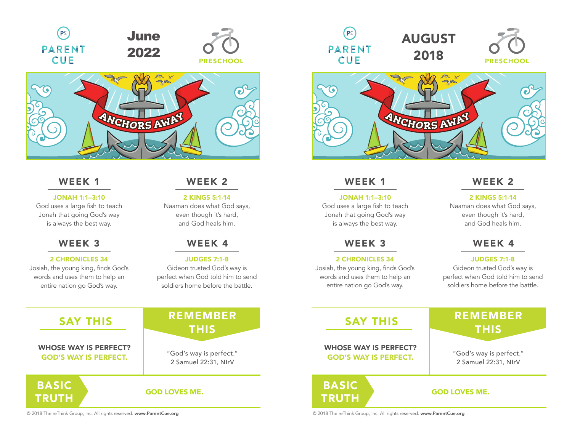





# WEEK 1 WEEK 2

#### JONAH 1:1–3:10

God uses a large fish to teach Jonah that going God's way is always the best way.

# WEEK 3 WEEK 3

#### 2 CHRONICLES 34

Josiah, the young king, finds God's words and uses them to help an entire nation go God's way.

**TRUTH** 

#### 2 KINGS 5:1-14

Naaman does what God says, even though it's hard, and God heals him.

# WEEK 4

#### JUDGES 7:1-8

Gideon trusted God's way is perfect when God told him to send soldiers home before the battle.

# **GOD LOVES ME.** BASIC REMEMBER SAY THIS NEWEWI "God's way is perfect." 2 Samuel 22:31, NIrV WHOSE WAY IS PERFECT? GOD'S WAY IS PERFECT.

© 2018 The reThink Group, Inc. All rights reserved. www.ParentCue.org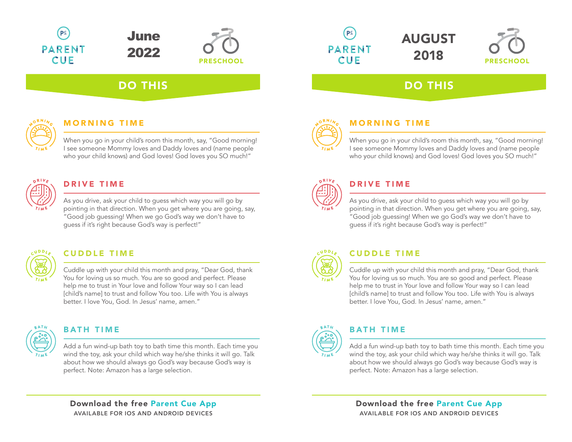



# DO THIS



# **MORNING TIME**

When you go in your child's room this month, say, "Good morning! I see someone Mommy loves and Daddy loves and (name people who your child knows) and God loves! God loves you SO much!"



# DRIVE TIME

As you drive, ask your child to guess which way you will go by pointing in that direction. When you get where you are going, say, "Good job guessing! When we go God's way we don't have to guess if it's right because God's way is perfect!"



# CUDDLE TIME CUDDLE TIME

Cuddle up with your child this month and pray, "Dear God, thank You for loving us so much. You are so good and perfect. Please help me to trust in Your love and follow Your way so I can lead [child's name] to trust and follow You too. Life with You is always better. I love You, God. In Jesus' name, amen."



# **BATH TIME**

Add a fun wind-up bath toy to bath time this month. Each time you wind the toy, ask your child which way he/she thinks it will go. Talk about how we should always go God's way because God's way is perfect. Note: Amazon has a large selection.

Download the free Parent Cue App AVAILABLE FOR IOS AND ANDROID DEVICES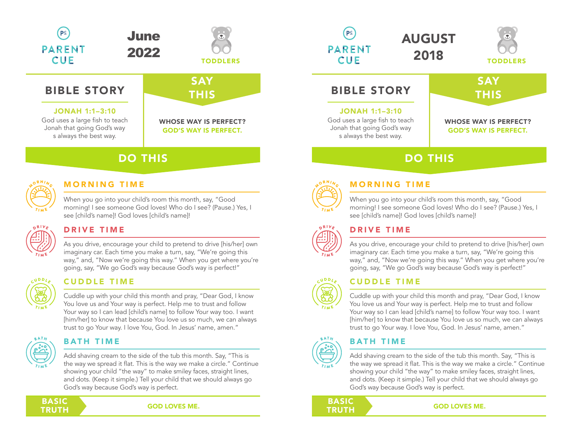



# **BIBLE STORY**

#### JONAH 1:1–3:10

God uses a large fish to teach Jonah that going God's way s always the best way.

# **SAY THIS**

#### WHOSE WAY IS PERFECT? GOD'S WAY IS PERFECT.

# DO THIS



# **MORNING TIME**

When you go into your child's room this month, say, "Good morning! I see someone God loves! Who do I see? (Pause.) Yes, I see [child's name]! God loves [child's name]!



### DRIVE TIME

As you drive, encourage your child to pretend to drive [his/her] own imaginary car. Each time you make a turn, say, "We're going this way," and, "Now we're going this way." When you get where you're going, say, "We go God's way because God's way is perfect!"



### CUDDLE TIME CUDDLE TIME

Cuddle up with your child this month and pray, "Dear God, I know You love us and Your way is perfect. Help me to trust and follow Your way so I can lead [child's name] to follow Your way too. I want [him/her] to know that because You love us so much, we can always trust to go Your way. I love You, God. In Jesus' name, amen."



# **BATH TIME**

Add shaving cream to the side of the tub this month. Say, "This is the way we spread it flat. This is the way we make a circle." Continue showing your child "the way" to make smiley faces, straight lines, and dots. (Keep it simple.) Tell your child that we should always go God's way because God's way is perfect.